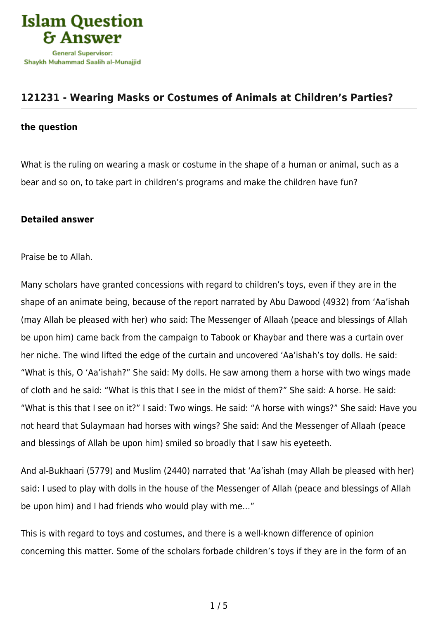

## **[121231 - Wearing Masks or Costumes of Animals at Children's Parties?](https://islamqa.com/en/answers/121231/wearing-masks-or-costumes-of-animals-at-childrens-parties)**

## **the question**

What is the ruling on wearing a mask or costume in the shape of a human or animal, such as a bear and so on, to take part in children's programs and make the children have fun?

## **Detailed answer**

Praise be to Allah.

Many scholars have granted concessions with regard to children's toys, even if they are in the shape of an animate being, because of the report narrated by Abu Dawood (4932) from 'Aa'ishah (may Allah be pleased with her) who said: The Messenger of Allaah (peace and blessings of Allah be upon him) came back from the campaign to Tabook or Khaybar and there was a curtain over her niche. The wind lifted the edge of the curtain and uncovered 'Aa'ishah's toy dolls. He said: "What is this, O 'Aa'ishah?" She said: My dolls. He saw among them a horse with two wings made of cloth and he said: "What is this that I see in the midst of them?" She said: A horse. He said: "What is this that I see on it?" I said: Two wings. He said: "A horse with wings?" She said: Have you not heard that Sulaymaan had horses with wings? She said: And the Messenger of Allaah (peace and blessings of Allah be upon him) smiled so broadly that I saw his eyeteeth.

And al-Bukhaari (5779) and Muslim (2440) narrated that 'Aa'ishah (may Allah be pleased with her) said: I used to play with dolls in the house of the Messenger of Allah (peace and blessings of Allah be upon him) and I had friends who would play with me…"

This is with regard to toys and costumes, and there is a well-known difference of opinion concerning this matter. Some of the scholars forbade children's toys if they are in the form of an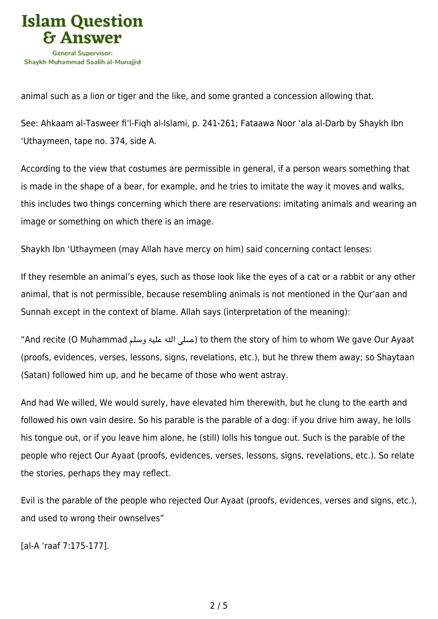

animal such as a lion or tiger and the like, and some granted a concession allowing that.

See: Ahkaam al-Tasweer fi'l-Fiqh al-Islami, p. 241-261; Fataawa Noor 'ala al-Darb by Shaykh Ibn 'Uthaymeen, tape no. 374, side A.

According to the view that costumes are permissible in general, if a person wears something that is made in the shape of a bear, for example, and he tries to imitate the way it moves and walks, this includes two things concerning which there are reservations: imitating animals and wearing an image or something on which there is an image.

Shaykh Ibn 'Uthaymeen (may Allah have mercy on him) said concerning contact lenses:

If they resemble an animal's eyes, such as those look like the eyes of a cat or a rabbit or any other animal, that is not permissible, because resembling animals is not mentioned in the Qur'aan and Sunnah except in the context of blame. Allah says (interpretation of the meaning):

"And recite (O Muhammad صلى الله عليه وسلم) to them the story of him to whom We gave Our Ayaat (proofs, evidences, verses, lessons, signs, revelations, etc.), but he threw them away; so Shaytaan (Satan) followed him up, and he became of those who went astray.

And had We willed, We would surely, have elevated him therewith, but he clung to the earth and followed his own vain desire. So his parable is the parable of a dog: if you drive him away, he lolls his tongue out, or if you leave him alone, he (still) lolls his tongue out. Such is the parable of the people who reject Our Ayaat (proofs, evidences, verses, lessons, signs, revelations, etc.). So relate the stories, perhaps they may reflect.

Evil is the parable of the people who rejected Our Ayaat (proofs, evidences, verses and signs, etc.), and used to wrong their ownselves"

[al-A 'raaf 7:175-177].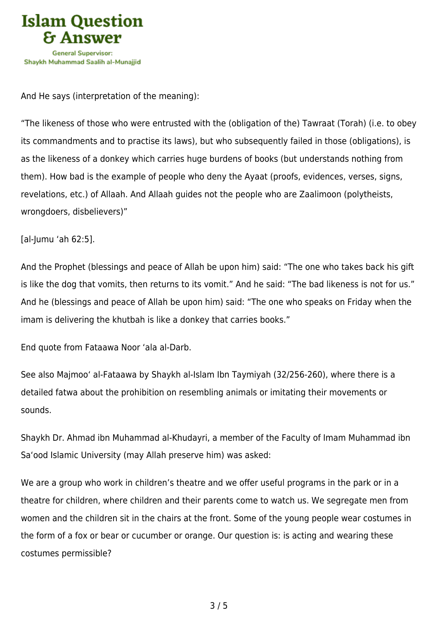

And He says (interpretation of the meaning):

"The likeness of those who were entrusted with the (obligation of the) Tawraat (Torah) (i.e. to obey its commandments and to practise its laws), but who subsequently failed in those (obligations), is as the likeness of a donkey which carries huge burdens of books (but understands nothing from them). How bad is the example of people who deny the Ayaat (proofs, evidences, verses, signs, revelations, etc.) of Allaah. And Allaah guides not the people who are Zaalimoon (polytheists, wrongdoers, disbelievers)"

[al-Jumu 'ah 62:5].

And the Prophet (blessings and peace of Allah be upon him) said: "The one who takes back his gift is like the dog that vomits, then returns to its vomit." And he said: "The bad likeness is not for us." And he (blessings and peace of Allah be upon him) said: "The one who speaks on Friday when the imam is delivering the khutbah is like a donkey that carries books."

End quote from Fataawa Noor 'ala al-Darb.

See also Majmoo' al-Fataawa by Shaykh al-Islam Ibn Taymiyah (32/256-260), where there is a detailed fatwa about the prohibition on resembling animals or imitating their movements or sounds.

Shaykh Dr. Ahmad ibn Muhammad al-Khudayri, a member of the Faculty of Imam Muhammad ibn Sa'ood Islamic University (may Allah preserve him) was asked:

We are a group who work in children's theatre and we offer useful programs in the park or in a theatre for children, where children and their parents come to watch us. We segregate men from women and the children sit in the chairs at the front. Some of the young people wear costumes in the form of a fox or bear or cucumber or orange. Our question is: is acting and wearing these costumes permissible?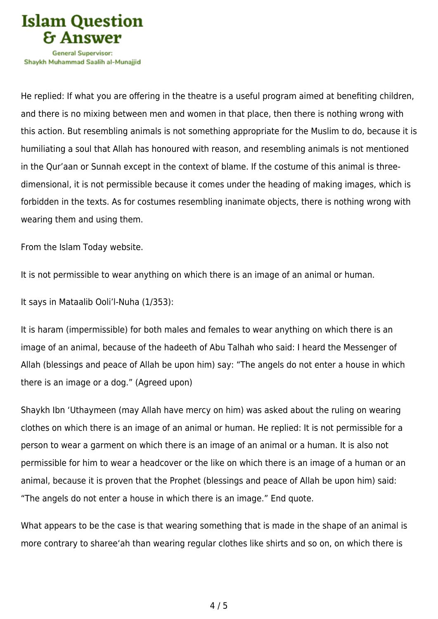

Shavkh Muhammad Saalih al-Munaiiid

He replied: If what you are offering in the theatre is a useful program aimed at benefiting children, and there is no mixing between men and women in that place, then there is nothing wrong with this action. But resembling animals is not something appropriate for the Muslim to do, because it is humiliating a soul that Allah has honoured with reason, and resembling animals is not mentioned in the Qur'aan or Sunnah except in the context of blame. If the costume of this animal is threedimensional, it is not permissible because it comes under the heading of making images, which is forbidden in the texts. As for costumes resembling inanimate objects, there is nothing wrong with wearing them and using them.

From the Islam Today website.

It is not permissible to wear anything on which there is an image of an animal or human.

It says in Mataalib Ooli'l-Nuha (1/353):

It is haram (impermissible) for both males and females to wear anything on which there is an image of an animal, because of the hadeeth of Abu Talhah who said: I heard the Messenger of Allah (blessings and peace of Allah be upon him) say: "The angels do not enter a house in which there is an image or a dog." (Agreed upon)

Shaykh Ibn 'Uthaymeen (may Allah have mercy on him) was asked about the ruling on wearing clothes on which there is an image of an animal or human. He replied: It is not permissible for a person to wear a garment on which there is an image of an animal or a human. It is also not permissible for him to wear a headcover or the like on which there is an image of a human or an animal, because it is proven that the Prophet (blessings and peace of Allah be upon him) said: "The angels do not enter a house in which there is an image." End quote.

What appears to be the case is that wearing something that is made in the shape of an animal is more contrary to sharee'ah than wearing regular clothes like shirts and so on, on which there is